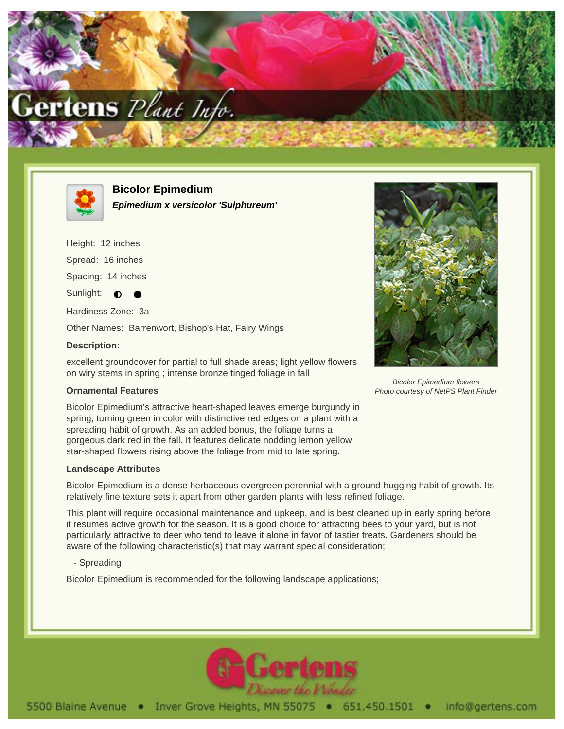



**Bicolor Epimedium Epimedium x versicolor 'Sulphureum'**

Height: 12 inches

Spread: 16 inches

Spacing: 14 inches

Sunlight:  $\bullet$ 

Hardiness Zone: 3a

Other Names: Barrenwort, Bishop's Hat, Fairy Wings

## **Description:**

excellent groundcover for partial to full shade areas; light yellow flowers on wiry stems in spring ; intense bronze tinged foliage in fall

## **Ornamental Features**

Bicolor Epimedium's attractive heart-shaped leaves emerge burgundy in spring, turning green in color with distinctive red edges on a plant with a spreading habit of growth. As an added bonus, the foliage turns a gorgeous dark red in the fall. It features delicate nodding lemon yellow star-shaped flowers rising above the foliage from mid to late spring.

## **Landscape Attributes**

Bicolor Epimedium is a dense herbaceous evergreen perennial with a ground-hugging habit of growth. Its relatively fine texture sets it apart from other garden plants with less refined foliage.

This plant will require occasional maintenance and upkeep, and is best cleaned up in early spring before it resumes active growth for the season. It is a good choice for attracting bees to your yard, but is not particularly attractive to deer who tend to leave it alone in favor of tastier treats. Gardeners should be aware of the following characteristic(s) that may warrant special consideration;

- Spreading

Bicolor Epimedium is recommended for the following landscape applications;



Bicolor Epimedium flowers Photo courtesy of NetPS Plant Finder